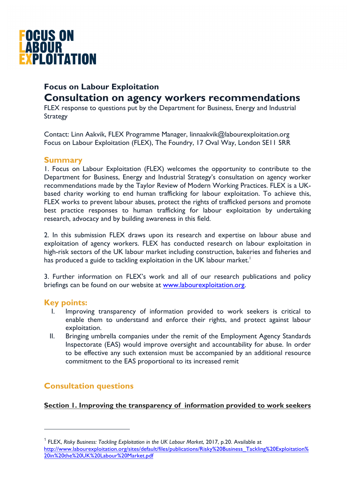

# **Focus on Labour Exploitation Consultation on agency workers recommendations**

FLEX response to questions put by the Department for Business, Energy and Industrial **Strategy** 

Contact: Linn Aakvik, FLEX Programme Manager, linnaakvik@labourexploitation.org Focus on Labour Exploitation (FLEX), The Foundry, 17 Oval Way, London SE11 5RR

# **Summary**

1. Focus on Labour Exploitation (FLEX) welcomes the opportunity to contribute to the Department for Business, Energy and Industrial Strategy's consultation on agency worker recommendations made by the Taylor Review of Modern Working Practices. FLEX is a UKbased charity working to end human trafficking for labour exploitation. To achieve this, FLEX works to prevent labour abuses, protect the rights of trafficked persons and promote best practice responses to human trafficking for labour exploitation by undertaking research, advocacy and by building awareness in this field.

2. In this submission FLEX draws upon its research and expertise on labour abuse and exploitation of agency workers. FLEX has conducted research on labour exploitation in high-risk sectors of the UK labour market including construction, bakeries and fisheries and has produced a guide to tackling exploitation in the UK labour market.<sup>1</sup>

3. Further information on FLEX's work and all of our research publications and policy briefings can be found on our website at www.labourexploitation.org.

# **Key points:**

-

- Improving transparency of information provided to work seekers is critical to enable them to understand and enforce their rights, and protect against labour exploitation.
- II. Bringing umbrella companies under the remit of the Employment Agency Standards Inspectorate (EAS) would improve oversight and accountability for abuse. In order to be effective any such extension must be accompanied by an additional resource commitment to the EAS proportional to its increased remit

# **Consultation questions**

**Section 1. Improving the transparency of information provided to work seekers** 

<sup>1</sup> FLEX, *Risky Business: Tackling Exploitation in the UK Labour Market*, 2017, p.20. Available at http://www.labourexploitation.org/sites/default/files/publications/Risky%20Business\_Tackling%20Exploitation% 20in%20the%20UK%20Labour%20Market.pdf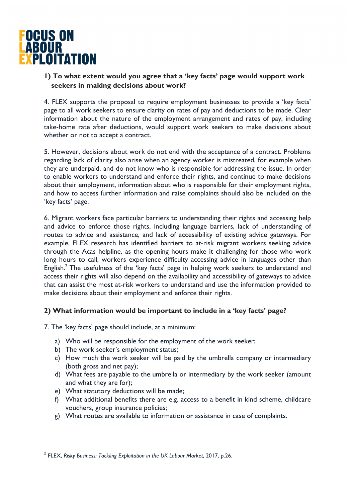

**1) To what extent would you agree that a 'key facts' page would support work seekers in making decisions about work?** 

4. FLEX supports the proposal to require employment businesses to provide a 'key facts' page to all work seekers to ensure clarity on rates of pay and deductions to be made. Clear information about the nature of the employment arrangement and rates of pay, including take-home rate after deductions, would support work seekers to make decisions about whether or not to accept a contract.

5. However, decisions about work do not end with the acceptance of a contract. Problems regarding lack of clarity also arise when an agency worker is mistreated, for example when they are underpaid, and do not know who is responsible for addressing the issue. In order to enable workers to understand and enforce their rights, and continue to make decisions about their employment, information about who is responsible for their employment rights, and how to access further information and raise complaints should also be included on the 'key facts' page.

6. Migrant workers face particular barriers to understanding their rights and accessing help and advice to enforce those rights, including language barriers, lack of understanding of routes to advice and assistance, and lack of accessibility of existing advice gateways. For example, FLEX research has identified barriers to at-risk migrant workers seeking advice through the Acas helpline, as the opening hours make it challenging for those who work long hours to call, workers experience difficulty accessing advice in languages other than English.<sup>2</sup> The usefulness of the 'key facts' page in helping work seekers to understand and access their rights will also depend on the availability and accessibility of gateways to advice that can assist the most at-risk workers to understand and use the information provided to make decisions about their employment and enforce their rights.

#### **2) What information would be important to include in a 'key facts' page?**

7. The 'key facts' page should include, at a minimum:

- a) Who will be responsible for the employment of the work seeker;
- b) The work seeker's employment status;
- c) How much the work seeker will be paid by the umbrella company or intermediary (both gross and net pay);
- d) What fees are payable to the umbrella or intermediary by the work seeker (amount and what they are for);
- e) What statutory deductions will be made;

-

- f) What additional benefits there are e.g. access to a benefit in kind scheme, childcare vouchers, group insurance policies;
- g) What routes are available to information or assistance in case of complaints.

<sup>2</sup> FLEX, *Risky Business: Tackling Exploitation in the UK Labour Market*, 2017, p.26.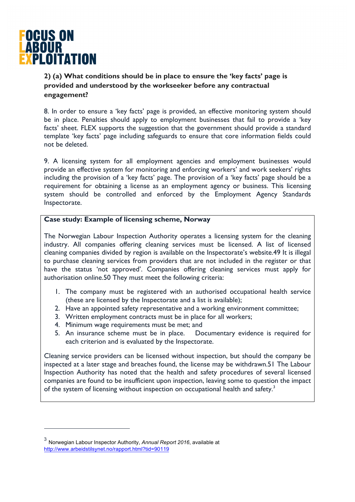

-

**2) (a) What conditions should be in place to ensure the 'key facts' page is provided and understood by the workseeker before any contractual engagement?** 

8. In order to ensure a 'key facts' page is provided, an effective monitoring system should be in place. Penalties should apply to employment businesses that fail to provide a 'key facts' sheet. FLEX supports the suggestion that the government should provide a standard template 'key facts' page including safeguards to ensure that core information fields could not be deleted.

9. A licensing system for all employment agencies and employment businesses would provide an effective system for monitoring and enforcing workers' and work seekers' rights including the provision of a 'key facts' page. The provision of a 'key facts' page should be a requirement for obtaining a license as an employment agency or business. This licensing system should be controlled and enforced by the Employment Agency Standards Inspectorate.

#### **Case study: Example of licensing scheme, Norway**

The Norwegian Labour Inspection Authority operates a licensing system for the cleaning industry. All companies offering cleaning services must be licensed. A list of licensed cleaning companies divided by region is available on the Inspectorate's website.49 It is illegal to purchase cleaning services from providers that are not included in the register or that have the status 'not approved'. Companies offering cleaning services must apply for authorisation online.50 They must meet the following criteria:

- 1. The company must be registered with an authorised occupational health service (these are licensed by the Inspectorate and a list is available);
- 2. Have an appointed safety representative and a working environment committee;
- 3. Written employment contracts must be in place for all workers;
- 4. Minimum wage requirements must be met; and
- 5. An insurance scheme must be in place. Documentary evidence is required for each criterion and is evaluated by the Inspectorate.

Cleaning service providers can be licensed without inspection, but should the company be inspected at a later stage and breaches found, the license may be withdrawn.51 The Labour Inspection Authority has noted that the health and safety procedures of several licensed companies are found to be insufficient upon inspection, leaving some to question the impact of the system of licensing without inspection on occupational health and safety.<sup>3</sup>

<sup>3</sup> Norwegian Labour Inspector Authority, *Annual Report 2016*, available at http://www.arbeidstilsynet.no/rapport.html?tid=90119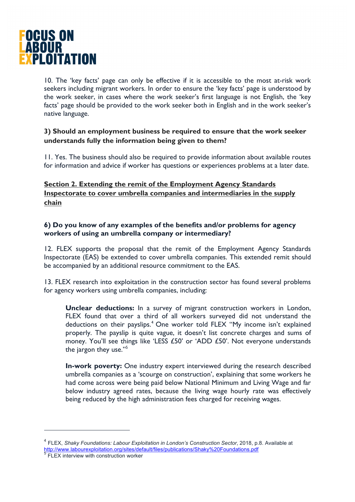

10. The 'key facts' page can only be effective if it is accessible to the most at-risk work seekers including migrant workers. In order to ensure the 'key facts' page is understood by the work seeker, in cases where the work seeker's first language is not English, the 'key facts' page should be provided to the work seeker both in English and in the work seeker's native language.

### **3) Should an employment business be required to ensure that the work seeker understands fully the information being given to them?**

11. Yes. The business should also be required to provide information about available routes for information and advice if worker has questions or experiences problems at a later date.

# **Section 2. Extending the remit of the Employment Agency Standards Inspectorate to cover umbrella companies and intermediaries in the supply chain**

#### **6) Do you know of any examples of the benefits and/or problems for agency workers of using an umbrella company or intermediary?**

12. FLEX supports the proposal that the remit of the Employment Agency Standards Inspectorate (EAS) be extended to cover umbrella companies. This extended remit should be accompanied by an additional resource commitment to the EAS.

13. FLEX research into exploitation in the construction sector has found several problems for agency workers using umbrella companies, including:

**Unclear deductions:** In a survey of migrant construction workers in London, FLEX found that over a third of all workers surveyed did not understand the deductions on their payslips.<sup>4</sup> One worker told FLEX "My income isn't explained properly. The payslip is quite vague, it doesn't list concrete charges and sums of money. You'll see things like 'LESS £50' or 'ADD £50'. Not everyone understands the jargon they use."<sup>5</sup>

**In-work poverty:** One industry expert interviewed during the research described umbrella companies as a 'scourge on construction', explaining that some workers he had come across were being paid below National Minimum and Living Wage and far below industry agreed rates, because the living wage hourly rate was effectively being reduced by the high administration fees charged for receiving wages.

-

<sup>4</sup> FLEX, *Shaky Foundations: Labour Exploitation in London's Construction Sector*, 2018, p.8. Available at http://www.labourexploitation.org/sites/default/files/publications/Shaky%20Foundations.pdf <sup>5</sup> FLEX interview with construction worker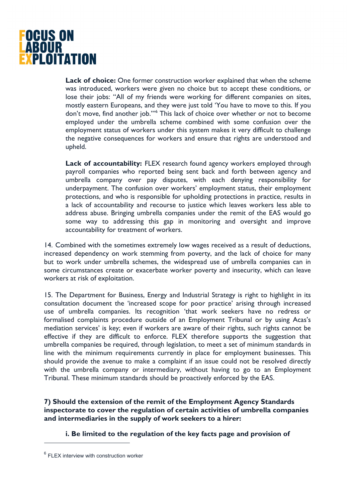

**Lack of choice:** One former construction worker explained that when the scheme was introduced, workers were given no choice but to accept these conditions, or lose their jobs: "All of my friends were working for different companies on sites, mostly eastern Europeans, and they were just told 'You have to move to this. If you don't move, find another job.'"6 This lack of choice over whether or not to become employed under the umbrella scheme combined with some confusion over the employment status of workers under this system makes it very difficult to challenge the negative consequences for workers and ensure that rights are understood and upheld.

**Lack of accountability:** FLEX research found agency workers employed through payroll companies who reported being sent back and forth between agency and umbrella company over pay disputes, with each denying responsibility for underpayment. The confusion over workers' employment status, their employment protections, and who is responsible for upholding protections in practice, results in a lack of accountability and recourse to justice which leaves workers less able to address abuse. Bringing umbrella companies under the remit of the EAS would go some way to addressing this gap in monitoring and oversight and improve accountability for treatment of workers.

14. Combined with the sometimes extremely low wages received as a result of deductions, increased dependency on work stemming from poverty, and the lack of choice for many but to work under umbrella schemes, the widespread use of umbrella companies can in some circumstances create or exacerbate worker poverty and insecurity, which can leave workers at risk of exploitation.

15. The Department for Business, Energy and Industrial Strategy is right to highlight in its consultation document the 'increased scope for poor practice' arising through increased use of umbrella companies. Its recognition 'that work seekers have no redress or formalised complaints procedure outside of an Employment Tribunal or by using Acas's mediation services' is key; even if workers are aware of their rights, such rights cannot be effective if they are difficult to enforce. FLEX therefore supports the suggestion that umbrella companies be required, through legislation, to meet a set of minimum standards in line with the minimum requirements currently in place for employment businesses. This should provide the avenue to make a complaint if an issue could not be resolved directly with the umbrella company or intermediary, without having to go to an Employment Tribunal. These minimum standards should be proactively enforced by the EAS.

**7) Should the extension of the remit of the Employment Agency Standards inspectorate to cover the regulation of certain activities of umbrella companies and intermediaries in the supply of work seekers to a hirer:** 

**i. Be limited to the regulation of the key facts page and provision of** 

 $\overline{a}$ 

 $6$  FLEX interview with construction worker